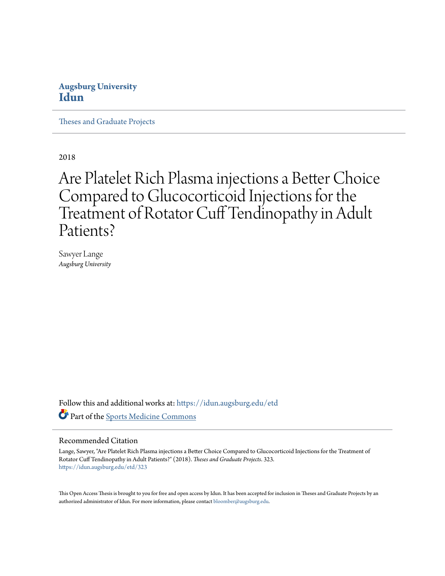### **Augsburg University [Idun](https://idun.augsburg.edu?utm_source=idun.augsburg.edu%2Fetd%2F323&utm_medium=PDF&utm_campaign=PDFCoverPages)**

[Theses and Graduate Projects](https://idun.augsburg.edu/etd?utm_source=idun.augsburg.edu%2Fetd%2F323&utm_medium=PDF&utm_campaign=PDFCoverPages)

2018

# Are Platelet Rich Plasma injections a Better Choice Compared to Glucocorticoid Injections for the Treatment of Rotator Cuff Tendinopathy in Adult Patients?

Sawyer Lange *Augsburg University*

Follow this and additional works at: [https://idun.augsburg.edu/etd](https://idun.augsburg.edu/etd?utm_source=idun.augsburg.edu%2Fetd%2F323&utm_medium=PDF&utm_campaign=PDFCoverPages) Part of the [Sports Medicine Commons](http://network.bepress.com/hgg/discipline/1331?utm_source=idun.augsburg.edu%2Fetd%2F323&utm_medium=PDF&utm_campaign=PDFCoverPages)

#### Recommended Citation

Lange, Sawyer, "Are Platelet Rich Plasma injections a Better Choice Compared to Glucocorticoid Injections for the Treatment of Rotator Cuff Tendinopathy in Adult Patients?" (2018). *Theses and Graduate Projects*. 323. [https://idun.augsburg.edu/etd/323](https://idun.augsburg.edu/etd/323?utm_source=idun.augsburg.edu%2Fetd%2F323&utm_medium=PDF&utm_campaign=PDFCoverPages)

This Open Access Thesis is brought to you for free and open access by Idun. It has been accepted for inclusion in Theses and Graduate Projects by an authorized administrator of Idun. For more information, please contact [bloomber@augsburg.edu.](mailto:bloomber@augsburg.edu)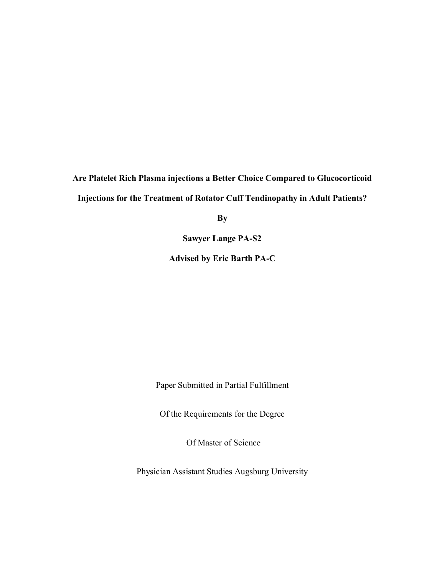## **Are Platelet Rich Plasma injections a Better Choice Compared to Glucocorticoid Injections for the Treatment of Rotator Cuff Tendinopathy in Adult Patients?**

**By** 

**Sawyer Lange PA-S2**

**Advised by Eric Barth PA-C**

Paper Submitted in Partial Fulfillment

Of the Requirements for the Degree

Of Master of Science

Physician Assistant Studies Augsburg University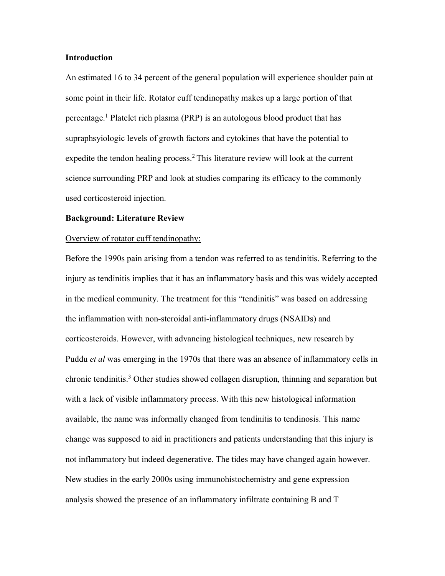#### **Introduction**

An estimated 16 to 34 percent of the general population will experience shoulder pain at some point in their life. Rotator cuff tendinopathy makes up a large portion of that percentage.1 Platelet rich plasma (PRP) is an autologous blood product that has supraphsyiologic levels of growth factors and cytokines that have the potential to expedite the tendon healing process.<sup>2</sup> This literature review will look at the current science surrounding PRP and look at studies comparing its efficacy to the commonly used corticosteroid injection.

#### **Background: Literature Review**

#### Overview of rotator cuff tendinopathy:

Before the 1990s pain arising from a tendon was referred to as tendinitis. Referring to the injury as tendinitis implies that it has an inflammatory basis and this was widely accepted in the medical community. The treatment for this "tendinitis" was based on addressing the inflammation with non-steroidal anti-inflammatory drugs (NSAIDs) and corticosteroids. However, with advancing histological techniques, new research by Puddu *et al* was emerging in the 1970s that there was an absence of inflammatory cells in chronic tendinitis.3 Other studies showed collagen disruption, thinning and separation but with a lack of visible inflammatory process. With this new histological information available, the name was informally changed from tendinitis to tendinosis. This name change was supposed to aid in practitioners and patients understanding that this injury is not inflammatory but indeed degenerative. The tides may have changed again however. New studies in the early 2000s using immunohistochemistry and gene expression analysis showed the presence of an inflammatory infiltrate containing B and T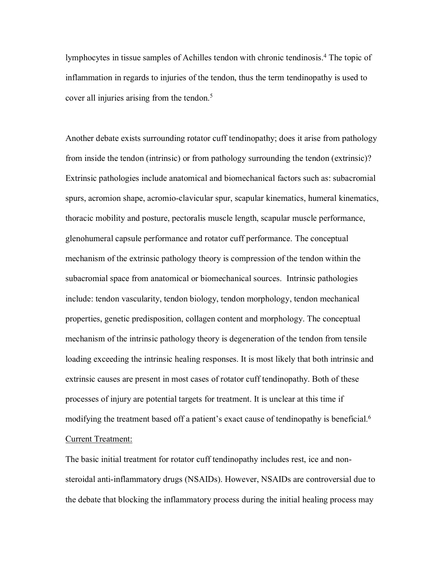lymphocytes in tissue samples of Achilles tendon with chronic tendinosis. <sup>4</sup> The topic of inflammation in regards to injuries of the tendon, thus the term tendinopathy is used to cover all injuries arising from the tendon.<sup>5</sup>

Another debate exists surrounding rotator cuff tendinopathy; does it arise from pathology from inside the tendon (intrinsic) or from pathology surrounding the tendon (extrinsic)? Extrinsic pathologies include anatomical and biomechanical factors such as: subacromial spurs, acromion shape, acromio-clavicular spur, scapular kinematics, humeral kinematics, thoracic mobility and posture, pectoralis muscle length, scapular muscle performance, glenohumeral capsule performance and rotator cuff performance. The conceptual mechanism of the extrinsic pathology theory is compression of the tendon within the subacromial space from anatomical or biomechanical sources. Intrinsic pathologies include: tendon vascularity, tendon biology, tendon morphology, tendon mechanical properties, genetic predisposition, collagen content and morphology. The conceptual mechanism of the intrinsic pathology theory is degeneration of the tendon from tensile loading exceeding the intrinsic healing responses. It is most likely that both intrinsic and extrinsic causes are present in most cases of rotator cuff tendinopathy. Both of these processes of injury are potential targets for treatment. It is unclear at this time if modifying the treatment based off a patient's exact cause of tendinopathy is beneficial.<sup>6</sup> Current Treatment:

The basic initial treatment for rotator cuff tendinopathy includes rest, ice and nonsteroidal anti-inflammatory drugs (NSAIDs). However, NSAIDs are controversial due to the debate that blocking the inflammatory process during the initial healing process may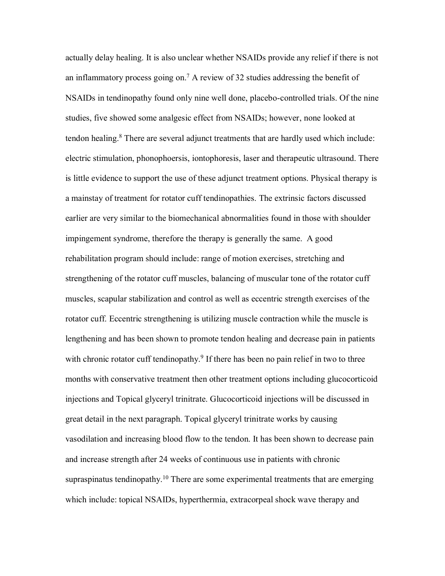actually delay healing. It is also unclear whether NSAIDs provide any relief if there is not an inflammatory process going on. <sup>7</sup> A review of 32 studies addressing the benefit of NSAIDs in tendinopathy found only nine well done, placebo-controlled trials. Of the nine studies, five showed some analgesic effect from NSAIDs; however, none looked at tendon healing. <sup>8</sup> There are several adjunct treatments that are hardly used which include: electric stimulation, phonophoersis, iontophoresis, laser and therapeutic ultrasound. There is little evidence to support the use of these adjunct treatment options. Physical therapy is a mainstay of treatment for rotator cuff tendinopathies. The extrinsic factors discussed earlier are very similar to the biomechanical abnormalities found in those with shoulder impingement syndrome, therefore the therapy is generally the same. A good rehabilitation program should include: range of motion exercises, stretching and strengthening of the rotator cuff muscles, balancing of muscular tone of the rotator cuff muscles, scapular stabilization and control as well as eccentric strength exercises of the rotator cuff. Eccentric strengthening is utilizing muscle contraction while the muscle is lengthening and has been shown to promote tendon healing and decrease pain in patients with chronic rotator cuff tendinopathy.<sup>9</sup> If there has been no pain relief in two to three months with conservative treatment then other treatment options including glucocorticoid injections and Topical glyceryl trinitrate. Glucocorticoid injections will be discussed in great detail in the next paragraph. Topical glyceryl trinitrate works by causing vasodilation and increasing blood flow to the tendon. It has been shown to decrease pain and increase strength after 24 weeks of continuous use in patients with chronic supraspinatus tendinopathy.<sup>10</sup> There are some experimental treatments that are emerging which include: topical NSAIDs, hyperthermia, extracorpeal shock wave therapy and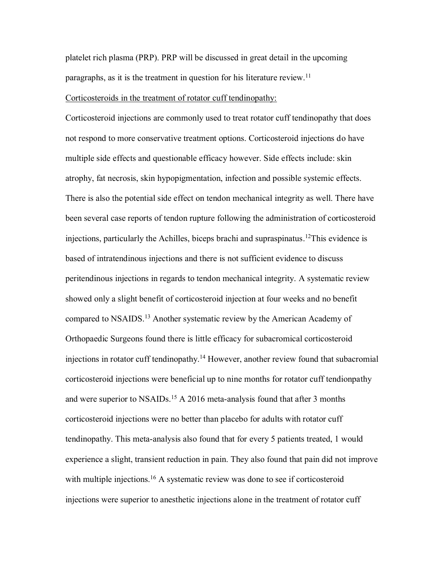platelet rich plasma (PRP). PRP will be discussed in great detail in the upcoming paragraphs, as it is the treatment in question for his literature review.<sup>11</sup>

#### Corticosteroids in the treatment of rotator cuff tendinopathy:

Corticosteroid injections are commonly used to treat rotator cuff tendinopathy that does not respond to more conservative treatment options. Corticosteroid injections do have multiple side effects and questionable efficacy however. Side effects include: skin atrophy, fat necrosis, skin hypopigmentation, infection and possible systemic effects. There is also the potential side effect on tendon mechanical integrity as well. There have been several case reports of tendon rupture following the administration of corticosteroid injections, particularly the Achilles, biceps brachi and supraspinatus. 12This evidence is based of intratendinous injections and there is not sufficient evidence to discuss peritendinous injections in regards to tendon mechanical integrity. A systematic review showed only a slight benefit of corticosteroid injection at four weeks and no benefit compared to NSAIDS.13 Another systematic review by the American Academy of Orthopaedic Surgeons found there is little efficacy for subacromical corticosteroid injections in rotator cuff tendinopathy.14 However, another review found that subacromial corticosteroid injections were beneficial up to nine months for rotator cuff tendionpathy and were superior to NSAIDs.<sup>15</sup> A 2016 meta-analysis found that after 3 months corticosteroid injections were no better than placebo for adults with rotator cuff tendinopathy. This meta-analysis also found that for every 5 patients treated, 1 would experience a slight, transient reduction in pain. They also found that pain did not improve with multiple injections.<sup>16</sup> A systematic review was done to see if corticosteroid injections were superior to anesthetic injections alone in the treatment of rotator cuff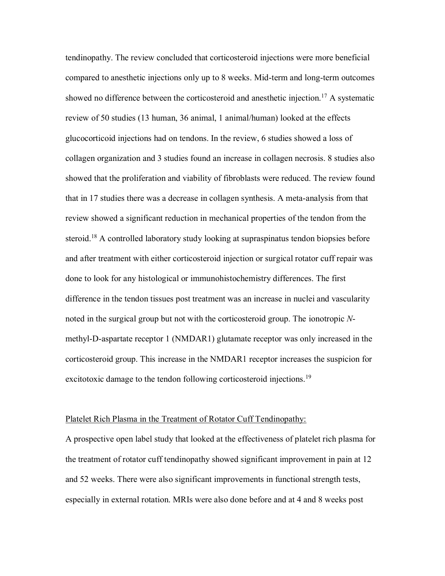tendinopathy. The review concluded that corticosteroid injections were more beneficial compared to anesthetic injections only up to 8 weeks. Mid-term and long-term outcomes showed no difference between the corticosteroid and anesthetic injection.<sup>17</sup> A systematic review of 50 studies (13 human, 36 animal, 1 animal/human) looked at the effects glucocorticoid injections had on tendons. In the review, 6 studies showed a loss of collagen organization and 3 studies found an increase in collagen necrosis. 8 studies also showed that the proliferation and viability of fibroblasts were reduced. The review found that in 17 studies there was a decrease in collagen synthesis. A meta-analysis from that review showed a significant reduction in mechanical properties of the tendon from the steroid.<sup>18</sup> A controlled laboratory study looking at supraspinatus tendon biopsies before and after treatment with either corticosteroid injection or surgical rotator cuff repair was done to look for any histological or immunohistochemistry differences. The first difference in the tendon tissues post treatment was an increase in nuclei and vascularity noted in the surgical group but not with the corticosteroid group. The ionotropic *N*methyl-D-aspartate receptor 1 (NMDAR1) glutamate receptor was only increased in the corticosteroid group. This increase in the NMDAR1 receptor increases the suspicion for excitotoxic damage to the tendon following corticosteroid injections.<sup>19</sup>

#### Platelet Rich Plasma in the Treatment of Rotator Cuff Tendinopathy:

A prospective open label study that looked at the effectiveness of platelet rich plasma for the treatment of rotator cuff tendinopathy showed significant improvement in pain at 12 and 52 weeks. There were also significant improvements in functional strength tests, especially in external rotation. MRIs were also done before and at 4 and 8 weeks post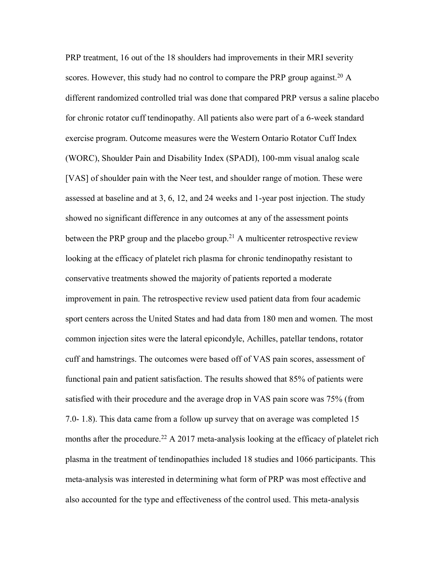PRP treatment, 16 out of the 18 shoulders had improvements in their MRI severity scores. However, this study had no control to compare the PRP group against.<sup>20</sup> A different randomized controlled trial was done that compared PRP versus a saline placebo for chronic rotator cuff tendinopathy. All patients also were part of a 6-week standard exercise program. Outcome measures were the Western Ontario Rotator Cuff Index (WORC), Shoulder Pain and Disability Index (SPADI), 100-mm visual analog scale [VAS] of shoulder pain with the Neer test, and shoulder range of motion. These were assessed at baseline and at 3, 6, 12, and 24 weeks and 1-year post injection. The study showed no significant difference in any outcomes at any of the assessment points between the PRP group and the placebo group.<sup>21</sup> A multicenter retrospective review looking at the efficacy of platelet rich plasma for chronic tendinopathy resistant to conservative treatments showed the majority of patients reported a moderate improvement in pain. The retrospective review used patient data from four academic sport centers across the United States and had data from 180 men and women. The most common injection sites were the lateral epicondyle, Achilles, patellar tendons, rotator cuff and hamstrings. The outcomes were based off of VAS pain scores, assessment of functional pain and patient satisfaction. The results showed that 85% of patients were satisfied with their procedure and the average drop in VAS pain score was 75% (from 7.0- 1.8). This data came from a follow up survey that on average was completed 15 months after the procedure.<sup>22</sup> A 2017 meta-analysis looking at the efficacy of platelet rich plasma in the treatment of tendinopathies included 18 studies and 1066 participants. This meta-analysis was interested in determining what form of PRP was most effective and also accounted for the type and effectiveness of the control used. This meta-analysis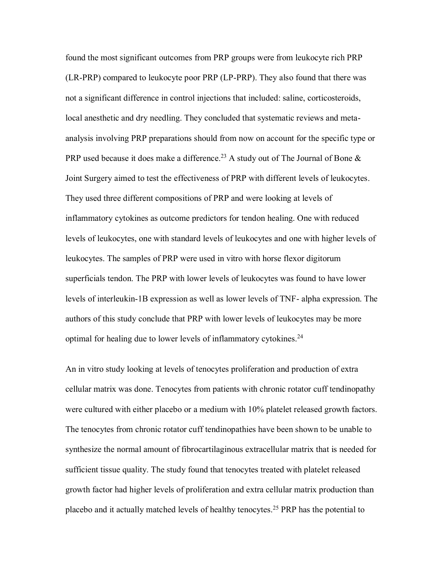found the most significant outcomes from PRP groups were from leukocyte rich PRP (LR-PRP) compared to leukocyte poor PRP (LP-PRP). They also found that there was not a significant difference in control injections that included: saline, corticosteroids, local anesthetic and dry needling. They concluded that systematic reviews and metaanalysis involving PRP preparations should from now on account for the specific type or PRP used because it does make a difference.<sup>23</sup> A study out of The Journal of Bone  $\&$ Joint Surgery aimed to test the effectiveness of PRP with different levels of leukocytes. They used three different compositions of PRP and were looking at levels of inflammatory cytokines as outcome predictors for tendon healing. One with reduced levels of leukocytes, one with standard levels of leukocytes and one with higher levels of leukocytes. The samples of PRP were used in vitro with horse flexor digitorum superficials tendon. The PRP with lower levels of leukocytes was found to have lower levels of interleukin-1B expression as well as lower levels of TNF- alpha expression. The authors of this study conclude that PRP with lower levels of leukocytes may be more optimal for healing due to lower levels of inflammatory cytokines.24

An in vitro study looking at levels of tenocytes proliferation and production of extra cellular matrix was done. Tenocytes from patients with chronic rotator cuff tendinopathy were cultured with either placebo or a medium with 10% platelet released growth factors. The tenocytes from chronic rotator cuff tendinopathies have been shown to be unable to synthesize the normal amount of fibrocartilaginous extracellular matrix that is needed for sufficient tissue quality. The study found that tenocytes treated with platelet released growth factor had higher levels of proliferation and extra cellular matrix production than placebo and it actually matched levels of healthy tenocytes.25 PRP has the potential to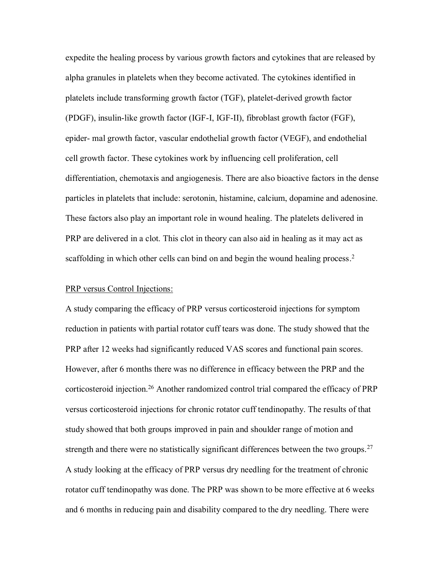expedite the healing process by various growth factors and cytokines that are released by alpha granules in platelets when they become activated. The cytokines identified in platelets include transforming growth factor (TGF), platelet-derived growth factor (PDGF), insulin-like growth factor (IGF-I, IGF-II), fibroblast growth factor (FGF), epider- mal growth factor, vascular endothelial growth factor (VEGF), and endothelial cell growth factor. These cytokines work by influencing cell proliferation, cell differentiation, chemotaxis and angiogenesis. There are also bioactive factors in the dense particles in platelets that include: serotonin, histamine, calcium, dopamine and adenosine. These factors also play an important role in wound healing. The platelets delivered in PRP are delivered in a clot. This clot in theory can also aid in healing as it may act as scaffolding in which other cells can bind on and begin the wound healing process.<sup>2</sup>

#### PRP versus Control Injections:

A study comparing the efficacy of PRP versus corticosteroid injections for symptom reduction in patients with partial rotator cuff tears was done. The study showed that the PRP after 12 weeks had significantly reduced VAS scores and functional pain scores. However, after 6 months there was no difference in efficacy between the PRP and the corticosteroid injection.26 Another randomized control trial compared the efficacy of PRP versus corticosteroid injections for chronic rotator cuff tendinopathy. The results of that study showed that both groups improved in pain and shoulder range of motion and strength and there were no statistically significant differences between the two groups.<sup>27</sup> A study looking at the efficacy of PRP versus dry needling for the treatment of chronic rotator cuff tendinopathy was done. The PRP was shown to be more effective at 6 weeks and 6 months in reducing pain and disability compared to the dry needling. There were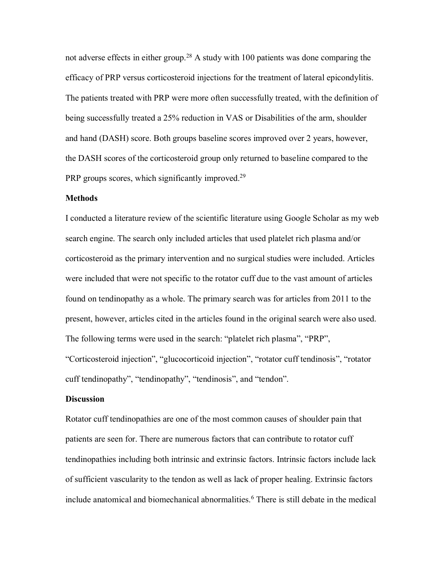not adverse effects in either group.<sup>28</sup> A study with 100 patients was done comparing the efficacy of PRP versus corticosteroid injections for the treatment of lateral epicondylitis. The patients treated with PRP were more often successfully treated, with the definition of being successfully treated a 25% reduction in VAS or Disabilities of the arm, shoulder and hand (DASH) score. Both groups baseline scores improved over 2 years, however, the DASH scores of the corticosteroid group only returned to baseline compared to the PRP groups scores, which significantly improved.<sup>29</sup>

#### **Methods**

I conducted a literature review of the scientific literature using Google Scholar as my web search engine. The search only included articles that used platelet rich plasma and/or corticosteroid as the primary intervention and no surgical studies were included. Articles were included that were not specific to the rotator cuff due to the vast amount of articles found on tendinopathy as a whole. The primary search was for articles from 2011 to the present, however, articles cited in the articles found in the original search were also used. The following terms were used in the search: "platelet rich plasma", "PRP", "Corticosteroid injection", "glucocorticoid injection", "rotator cuff tendinosis", "rotator

#### **Discussion**

Rotator cuff tendinopathies are one of the most common causes of shoulder pain that patients are seen for. There are numerous factors that can contribute to rotator cuff tendinopathies including both intrinsic and extrinsic factors. Intrinsic factors include lack of sufficient vascularity to the tendon as well as lack of proper healing. Extrinsic factors include anatomical and biomechanical abnormalities.<sup>6</sup> There is still debate in the medical

cuff tendinopathy", "tendinopathy", "tendinosis", and "tendon".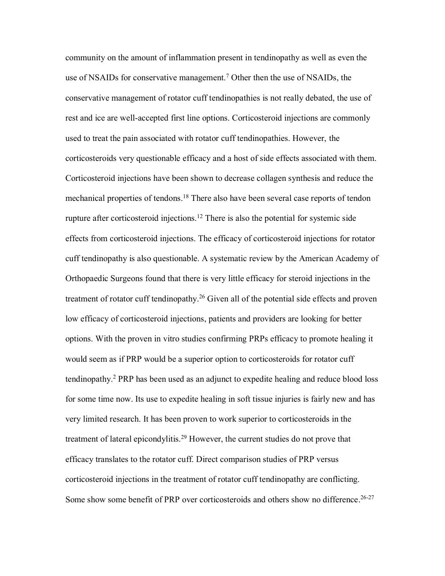community on the amount of inflammation present in tendinopathy as well as even the use of NSAIDs for conservative management.<sup>7</sup> Other then the use of NSAIDs, the conservative management of rotator cuff tendinopathies is not really debated, the use of rest and ice are well-accepted first line options. Corticosteroid injections are commonly used to treat the pain associated with rotator cuff tendinopathies. However, the corticosteroids very questionable efficacy and a host of side effects associated with them. Corticosteroid injections have been shown to decrease collagen synthesis and reduce the mechanical properties of tendons. <sup>18</sup> There also have been several case reports of tendon rupture after corticosteroid injections.<sup>12</sup> There is also the potential for systemic side effects from corticosteroid injections. The efficacy of corticosteroid injections for rotator cuff tendinopathy is also questionable. A systematic review by the American Academy of Orthopaedic Surgeons found that there is very little efficacy for steroid injections in the treatment of rotator cuff tendinopathy.<sup>26</sup> Given all of the potential side effects and proven low efficacy of corticosteroid injections, patients and providers are looking for better options. With the proven in vitro studies confirming PRPs efficacy to promote healing it would seem as if PRP would be a superior option to corticosteroids for rotator cuff tendinopathy. <sup>2</sup> PRP has been used as an adjunct to expedite healing and reduce blood loss for some time now. Its use to expedite healing in soft tissue injuries is fairly new and has very limited research. It has been proven to work superior to corticosteroids in the treatment of lateral epicondylitis.<sup>29</sup> However, the current studies do not prove that efficacy translates to the rotator cuff. Direct comparison studies of PRP versus corticosteroid injections in the treatment of rotator cuff tendinopathy are conflicting. Some show some benefit of PRP over corticosteroids and others show no difference.<sup>26-27</sup>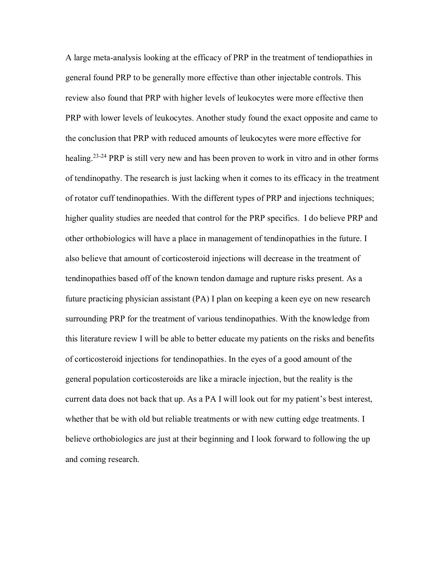A large meta-analysis looking at the efficacy of PRP in the treatment of tendiopathies in general found PRP to be generally more effective than other injectable controls. This review also found that PRP with higher levels of leukocytes were more effective then PRP with lower levels of leukocytes. Another study found the exact opposite and came to the conclusion that PRP with reduced amounts of leukocytes were more effective for healing.<sup>23-24</sup> PRP is still very new and has been proven to work in vitro and in other forms of tendinopathy. The research is just lacking when it comes to its efficacy in the treatment of rotator cuff tendinopathies. With the different types of PRP and injections techniques; higher quality studies are needed that control for the PRP specifics. I do believe PRP and other orthobiologics will have a place in management of tendinopathies in the future. I also believe that amount of corticosteroid injections will decrease in the treatment of tendinopathies based off of the known tendon damage and rupture risks present. As a future practicing physician assistant (PA) I plan on keeping a keen eye on new research surrounding PRP for the treatment of various tendinopathies. With the knowledge from this literature review I will be able to better educate my patients on the risks and benefits of corticosteroid injections for tendinopathies. In the eyes of a good amount of the general population corticosteroids are like a miracle injection, but the reality is the current data does not back that up. As a PA I will look out for my patient's best interest, whether that be with old but reliable treatments or with new cutting edge treatments. I believe orthobiologics are just at their beginning and I look forward to following the up and coming research.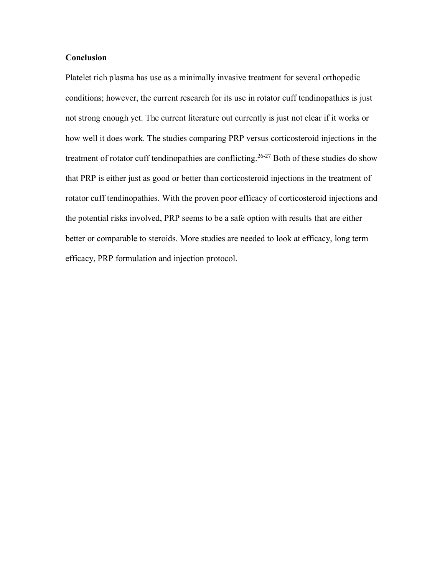#### **Conclusion**

Platelet rich plasma has use as a minimally invasive treatment for several orthopedic conditions; however, the current research for its use in rotator cuff tendinopathies is just not strong enough yet. The current literature out currently is just not clear if it works or how well it does work. The studies comparing PRP versus corticosteroid injections in the treatment of rotator cuff tendinopathies are conflicting.<sup>26-27</sup> Both of these studies do show that PRP is either just as good or better than corticosteroid injections in the treatment of rotator cuff tendinopathies. With the proven poor efficacy of corticosteroid injections and the potential risks involved, PRP seems to be a safe option with results that are either better or comparable to steroids. More studies are needed to look at efficacy, long term efficacy, PRP formulation and injection protocol.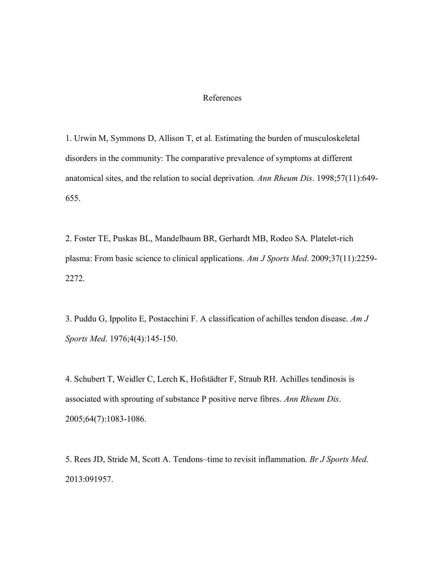#### References

1. Urwin M, Symmons D, Allison T, et al. Estimating the burden of musculoskeletal disorders in the community: The comparative prevalence of symptoms at different anatomical sites, and the relation to social deprivation. *Ann Rheum Dis*. 1998;57(11):649- 655.

2. Foster TE, Puskas BL, Mandelbaum BR, Gerhardt MB, Rodeo SA. Platelet-rich plasma: From basic science to clinical applications. *Am J Sports Med*. 2009;37(11):2259- 2272.

3. Puddu G, Ippolito E, Postacchini F. A classification of achilles tendon disease. *Am J Sports Med*. 1976;4(4):145-150.

4. Schubert T, Weidler C, Lerch K, Hofstädter F, Straub RH. Achilles tendinosis is associated with sprouting of substance P positive nerve fibres. *Ann Rheum Dis*. 2005;64(7):1083-1086.

5. Rees JD, Stride M, Scott A. Tendons–time to revisit inflammation. *Br J Sports Med*. 2013:091957.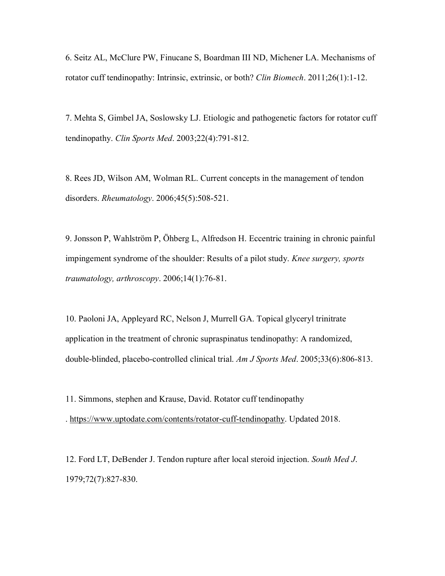6. Seitz AL, McClure PW, Finucane S, Boardman III ND, Michener LA. Mechanisms of rotator cuff tendinopathy: Intrinsic, extrinsic, or both? *Clin Biomech*. 2011;26(1):1-12.

7. Mehta S, Gimbel JA, Soslowsky LJ. Etiologic and pathogenetic factors for rotator cuff tendinopathy. *Clin Sports Med*. 2003;22(4):791-812.

8. Rees JD, Wilson AM, Wolman RL. Current concepts in the management of tendon disorders. *Rheumatology*. 2006;45(5):508-521.

9. Jonsson P, Wahlström P, Öhberg L, Alfredson H. Eccentric training in chronic painful impingement syndrome of the shoulder: Results of a pilot study. *Knee surgery, sports traumatology, arthroscopy*. 2006;14(1):76-81.

10. Paoloni JA, Appleyard RC, Nelson J, Murrell GA. Topical glyceryl trinitrate application in the treatment of chronic supraspinatus tendinopathy: A randomized, double-blinded, placebo-controlled clinical trial. *Am J Sports Med*. 2005;33(6):806-813.

11. Simmons, stephen and Krause, David. Rotator cuff tendinopathy . [https://www.uptodate.com/contents/rotator-cuff-tendinopathy.](https://www.uptodate.com/contents/rotator-cuff-tendinopathy) Updated 2018.

12. Ford LT, DeBender J. Tendon rupture after local steroid injection. *South Med J*. 1979;72(7):827-830.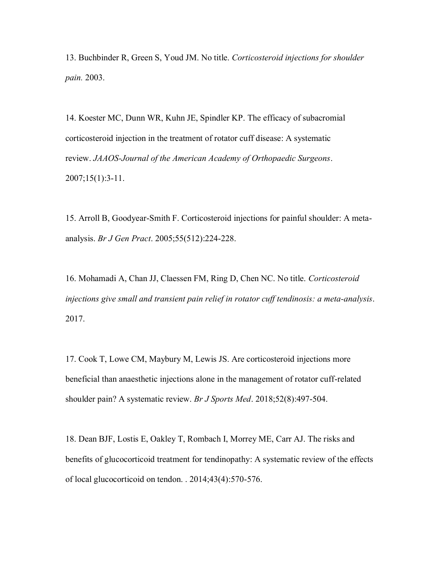13. Buchbinder R, Green S, Youd JM. No title. *Corticosteroid injections for shoulder pain.* 2003.

14. Koester MC, Dunn WR, Kuhn JE, Spindler KP. The efficacy of subacromial corticosteroid injection in the treatment of rotator cuff disease: A systematic review. *JAAOS-Journal of the American Academy of Orthopaedic Surgeons*. 2007;15(1):3-11.

15. Arroll B, Goodyear-Smith F. Corticosteroid injections for painful shoulder: A metaanalysis. *Br J Gen Pract*. 2005;55(512):224-228.

16. Mohamadi A, Chan JJ, Claessen FM, Ring D, Chen NC. No title. *Corticosteroid injections give small and transient pain relief in rotator cuff tendinosis: a meta-analysis*. 2017.

17. Cook T, Lowe CM, Maybury M, Lewis JS. Are corticosteroid injections more beneficial than anaesthetic injections alone in the management of rotator cuff-related shoulder pain? A systematic review. *Br J Sports Med*. 2018;52(8):497-504.

18. Dean BJF, Lostis E, Oakley T, Rombach I, Morrey ME, Carr AJ. The risks and benefits of glucocorticoid treatment for tendinopathy: A systematic review of the effects of local glucocorticoid on tendon. . 2014;43(4):570-576.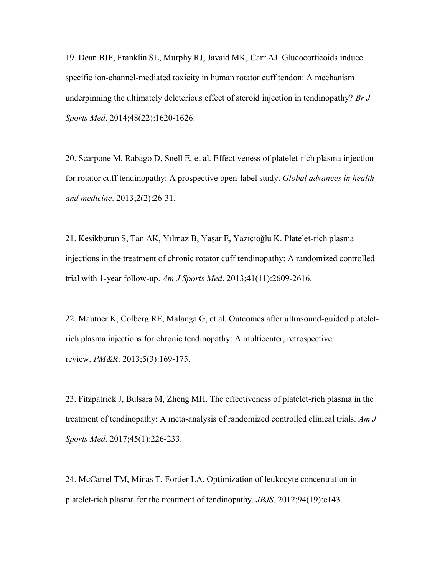19. Dean BJF, Franklin SL, Murphy RJ, Javaid MK, Carr AJ. Glucocorticoids induce specific ion-channel-mediated toxicity in human rotator cuff tendon: A mechanism underpinning the ultimately deleterious effect of steroid injection in tendinopathy? *Br J Sports Med*. 2014;48(22):1620-1626.

20. Scarpone M, Rabago D, Snell E, et al. Effectiveness of platelet-rich plasma injection for rotator cuff tendinopathy: A prospective open-label study. *Global advances in health and medicine*. 2013;2(2):26-31.

21. Kesikburun S, Tan AK, Yılmaz B, Yaşar E, Yazıcıoğlu K. Platelet-rich plasma injections in the treatment of chronic rotator cuff tendinopathy: A randomized controlled trial with 1-year follow-up. *Am J Sports Med*. 2013;41(11):2609-2616.

22. Mautner K, Colberg RE, Malanga G, et al. Outcomes after ultrasound-guided plateletrich plasma injections for chronic tendinopathy: A multicenter, retrospective review. *PM&R*. 2013;5(3):169-175.

23. Fitzpatrick J, Bulsara M, Zheng MH. The effectiveness of platelet-rich plasma in the treatment of tendinopathy: A meta-analysis of randomized controlled clinical trials. *Am J Sports Med*. 2017;45(1):226-233.

24. McCarrel TM, Minas T, Fortier LA. Optimization of leukocyte concentration in platelet-rich plasma for the treatment of tendinopathy. *JBJS*. 2012;94(19):e143.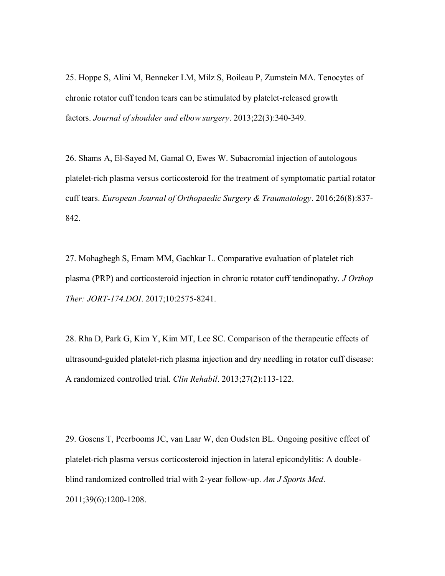25. Hoppe S, Alini M, Benneker LM, Milz S, Boileau P, Zumstein MA. Tenocytes of chronic rotator cuff tendon tears can be stimulated by platelet-released growth factors. *Journal of shoulder and elbow surgery*. 2013;22(3):340-349.

26. Shams A, El-Sayed M, Gamal O, Ewes W. Subacromial injection of autologous platelet-rich plasma versus corticosteroid for the treatment of symptomatic partial rotator cuff tears. *European Journal of Orthopaedic Surgery & Traumatology*. 2016;26(8):837- 842.

27. Mohaghegh S, Emam MM, Gachkar L. Comparative evaluation of platelet rich plasma (PRP) and corticosteroid injection in chronic rotator cuff tendinopathy. *J Orthop Ther: JORT-174.DOI*. 2017;10:2575-8241.

28. Rha D, Park G, Kim Y, Kim MT, Lee SC. Comparison of the therapeutic effects of ultrasound-guided platelet-rich plasma injection and dry needling in rotator cuff disease: A randomized controlled trial. *Clin Rehabil*. 2013;27(2):113-122.

29. Gosens T, Peerbooms JC, van Laar W, den Oudsten BL. Ongoing positive effect of platelet-rich plasma versus corticosteroid injection in lateral epicondylitis: A doubleblind randomized controlled trial with 2-year follow-up. *Am J Sports Med*. 2011;39(6):1200-1208.